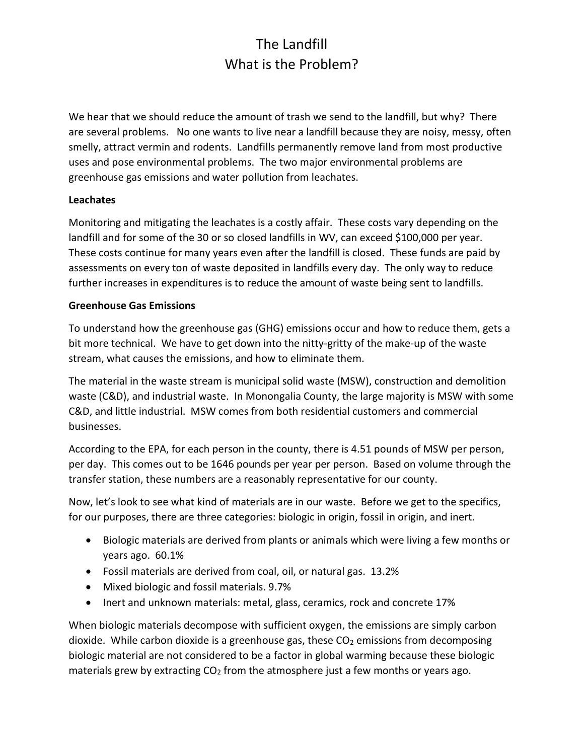# The Landfill What is the Problem?

We hear that we should reduce the amount of trash we send to the landfill, but why? There are several problems. No one wants to live near a landfill because they are noisy, messy, often smelly, attract vermin and rodents. Landfills permanently remove land from most productive uses and pose environmental problems. The two major environmental problems are greenhouse gas emissions and water pollution from leachates.

# Leachates

Monitoring and mitigating the leachates is a costly affair. These costs vary depending on the landfill and for some of the 30 or so closed landfills in WV, can exceed \$100,000 per year. These costs continue for many years even after the landfill is closed. These funds are paid by assessments on every ton of waste deposited in landfills every day. The only way to reduce further increases in expenditures is to reduce the amount of waste being sent to landfills.

#### Greenhouse Gas Emissions

To understand how the greenhouse gas (GHG) emissions occur and how to reduce them, gets a bit more technical. We have to get down into the nitty-gritty of the make-up of the waste stream, what causes the emissions, and how to eliminate them.

The material in the waste stream is municipal solid waste (MSW), construction and demolition waste (C&D), and industrial waste. In Monongalia County, the large majority is MSW with some C&D, and little industrial. MSW comes from both residential customers and commercial businesses.

According to the EPA, for each person in the county, there is 4.51 pounds of MSW per person, per day. This comes out to be 1646 pounds per year per person. Based on volume through the transfer station, these numbers are a reasonably representative for our county.

Now, let's look to see what kind of materials are in our waste. Before we get to the specifics, for our purposes, there are three categories: biologic in origin, fossil in origin, and inert.

- Biologic materials are derived from plants or animals which were living a few months or years ago. 60.1%
- Fossil materials are derived from coal, oil, or natural gas. 13.2%
- Mixed biologic and fossil materials. 9.7%
- Inert and unknown materials: metal, glass, ceramics, rock and concrete 17%

When biologic materials decompose with sufficient oxygen, the emissions are simply carbon dioxide. While carbon dioxide is a greenhouse gas, these  $CO<sub>2</sub>$  emissions from decomposing biologic material are not considered to be a factor in global warming because these biologic materials grew by extracting  $CO<sub>2</sub>$  from the atmosphere just a few months or years ago.